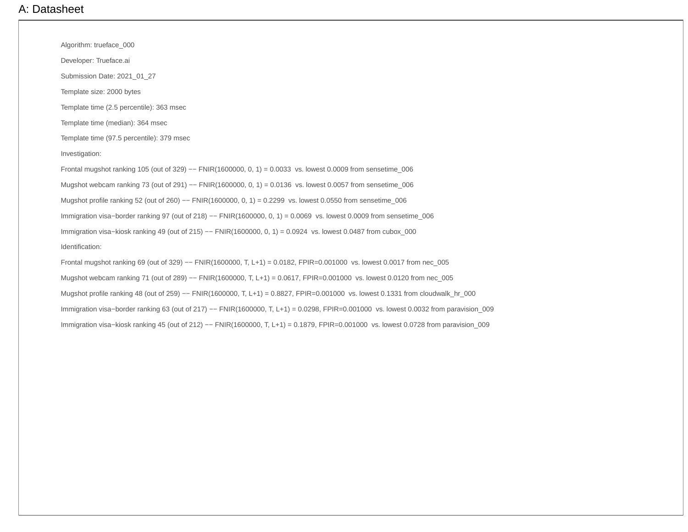## A: Datasheet

Algorithm: trueface\_000

Developer: Trueface.ai

Submission Date: 2021\_01\_27

Template size: 2000 bytes

Template time (2.5 percentile): 363 msec

Template time (median): 364 msec

Template time (97.5 percentile): 379 msec

Investigation:

Frontal mugshot ranking 105 (out of 329) –− FNIR(1600000, 0, 1) = 0.0033 vs. lowest 0.0009 from sensetime\_006 Mugshot webcam ranking 73 (out of 291) -- FNIR(1600000, 0, 1) = 0.0136 vs. lowest 0.0057 from sensetime\_006 Mugshot profile ranking 52 (out of 260) -- FNIR(1600000, 0, 1) = 0.2299 vs. lowest 0.0550 from sensetime\_006 Immigration visa−border ranking 97 (out of 218) −− FNIR(1600000, 0, 1) = 0.0069 vs. lowest 0.0009 from sensetime\_006 Immigration visa−kiosk ranking 49 (out of 215) −− FNIR(1600000, 0, 1) = 0.0924 vs. lowest 0.0487 from cubox\_000 Identification:

Frontal mugshot ranking 69 (out of 329) −− FNIR(1600000, T, L+1) = 0.0182, FPIR=0.001000 vs. lowest 0.0017 from nec\_005 Mugshot webcam ranking 71 (out of 289) -- FNIR(1600000, T, L+1) = 0.0617, FPIR=0.001000 vs. lowest 0.0120 from nec\_005 Mugshot profile ranking 48 (out of 259) -- FNIR(1600000, T, L+1) = 0.8827, FPIR=0.001000 vs. lowest 0.1331 from cloudwalk\_hr\_000 Immigration visa-border ranking 63 (out of 217) -- FNIR(1600000, T, L+1) = 0.0298, FPIR=0.001000 vs. lowest 0.0032 from paravision\_009 Immigration visa−kiosk ranking 45 (out of 212) −− FNIR(1600000, T, L+1) = 0.1879, FPIR=0.001000 vs. lowest 0.0728 from paravision\_009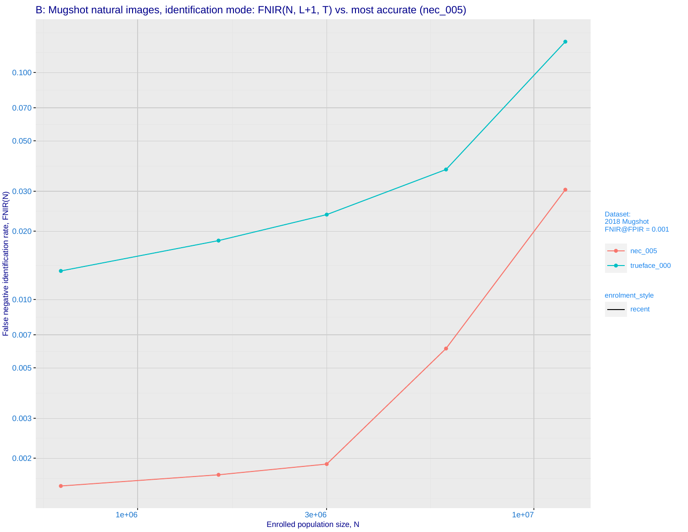

# B: Mugshot natural images, identification mode: FNIR(N, L+1, T) vs. most accurate (nec\_005)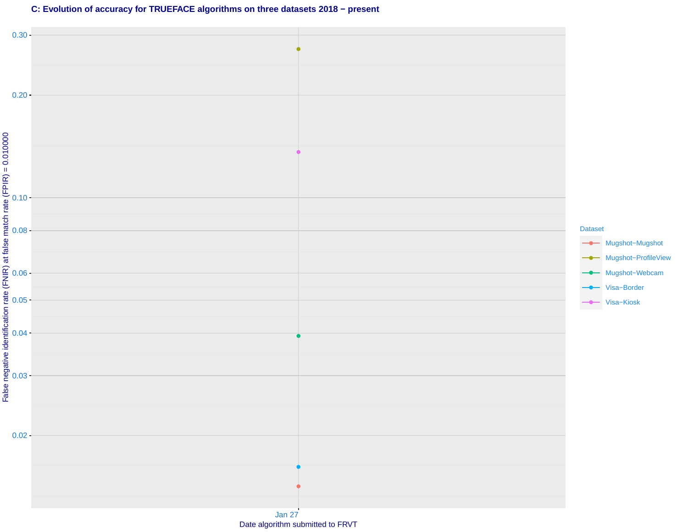#### **C: Evolution of accuracy for TRUEFACE algorithms on three datasets 2018 − present**

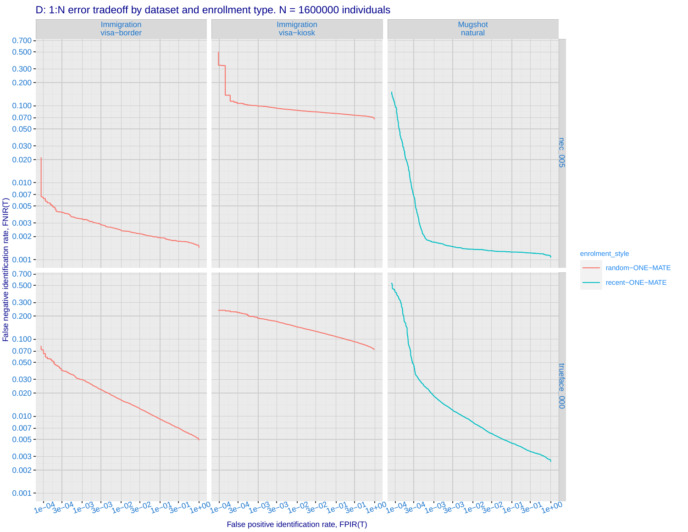

#### D: 1:N error tradeoff by dataset and enrollment type. N = 1600000 individuals

False positive identification rate, FPIR(T)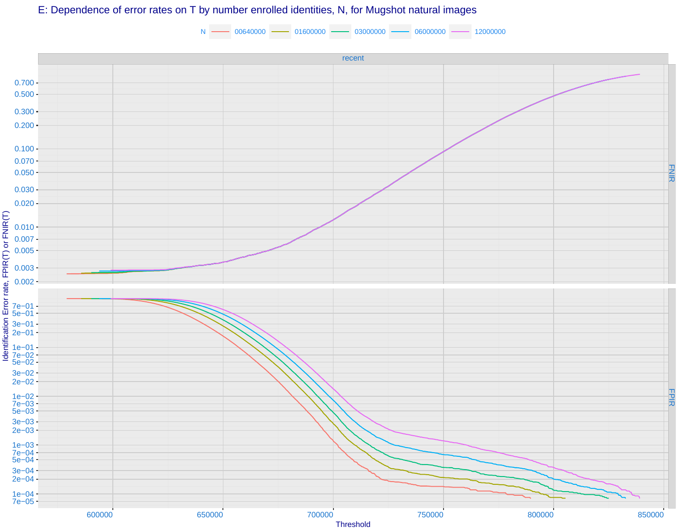# recent FNIR 0.002 0.003 0.005 0.007 0.010  $0.020 0.030 0.050 0.070 0.100 -$ 0.200 0.300  $0.500 -$ 0.700 N - 00640000 - 01600000 - 03000000 - 06000000 - 12000000 E: Dependence of error rates on T by number enrolled identities, N, for Mugshot natural images

**FPIR** 600000 650000 700000 750000 800000 850000 7e−05 1e−04 2e−04 3e−04 5e−04 7e−04 1e−03 2e−03 3e−03 5e−03 7e−03 1e−02 2e−02 3e−02 5e−02 7e−02 1e−01 2e−01 3e−01 5e−01 7e−01 **Threshold** Identification Error rate, FPIR(T) or FNIR(T)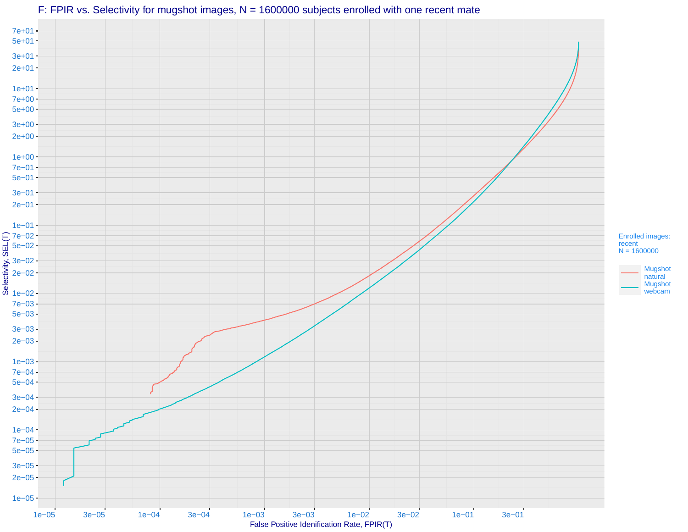# F: FPIR vs. Selectivity for mugshot images, N = 1600000 subjects enrolled with one recent mate

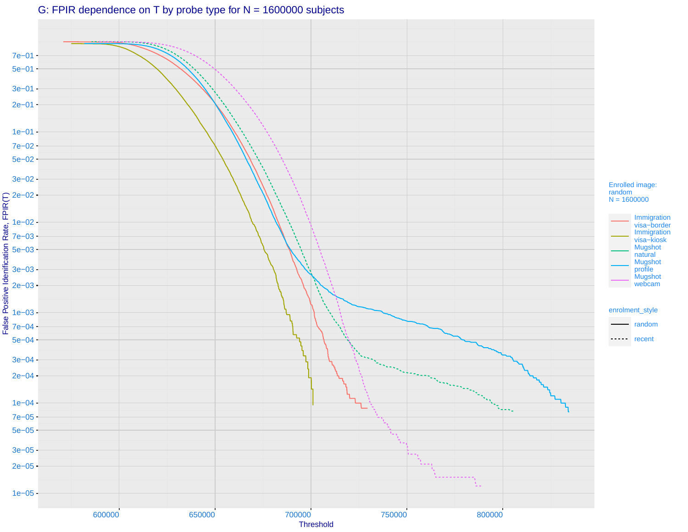# G: FPIR dependence on T by probe type for N = 1600000 subjects

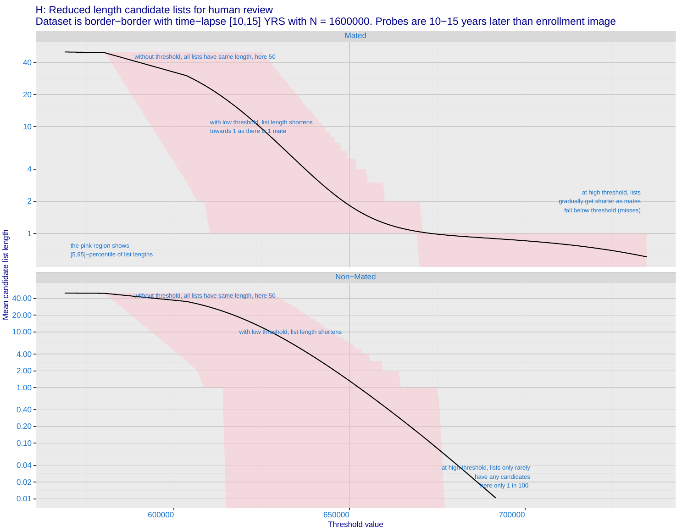#### H: Reduced length candidate lists for human review

Mean candidate list length

## Dataset is border−border with time−lapse [10,15] YRS with N = 1600000. Probes are 10−15 years later than enrollment image

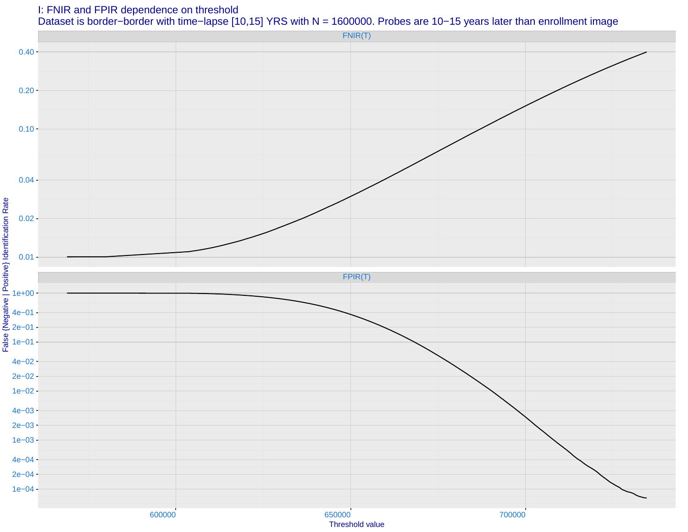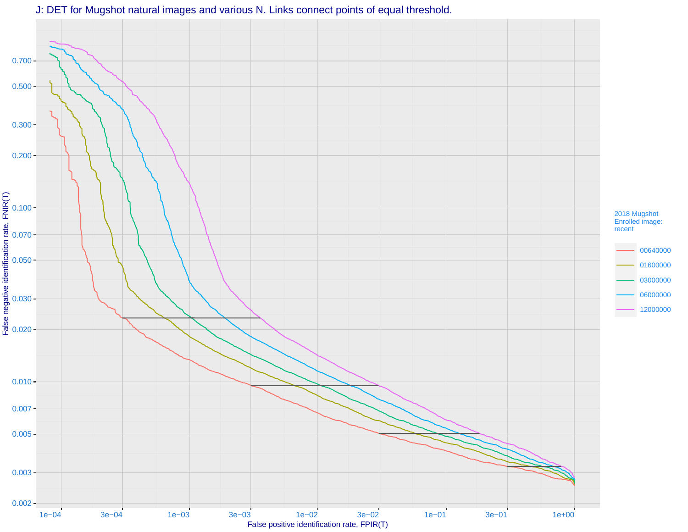

J: DET for Mugshot natural images and various N. Links connect points of equal threshold.

False positive identification rate, FPIR(T)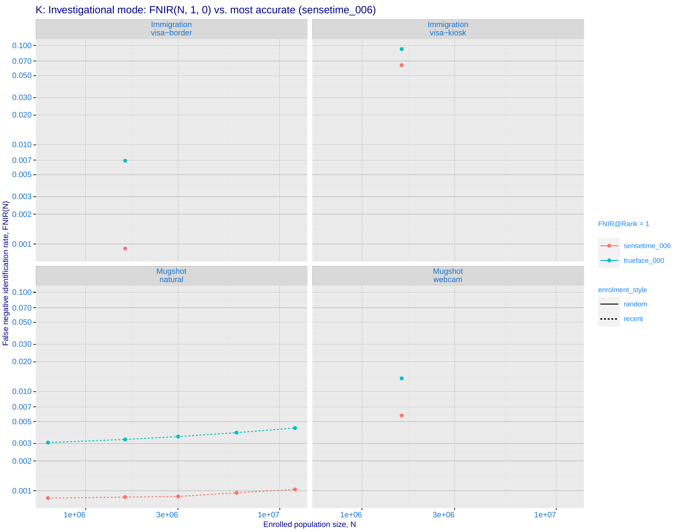## K: Investigational mode: FNIR(N, 1, 0) vs. most accurate (sensetime\_006)

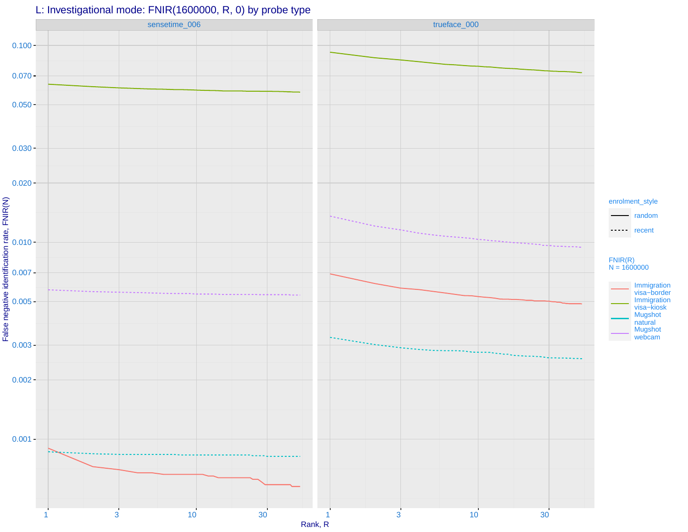# L: Investigational mode: FNIR(1600000, R, 0) by probe type

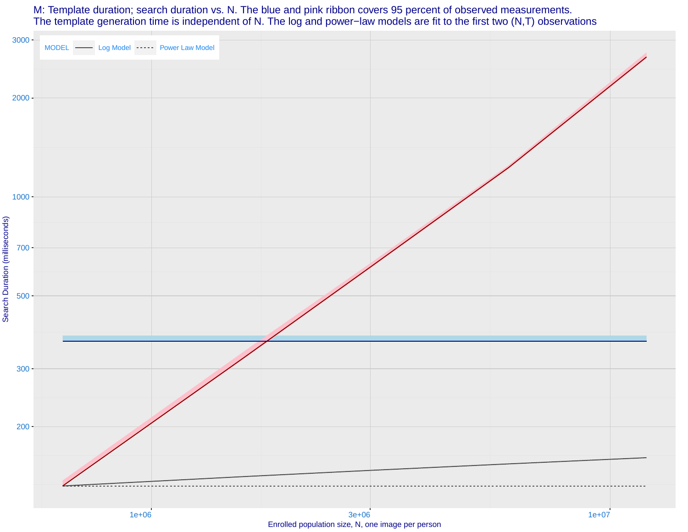#### M: Template duration; search duration vs. N. The blue and pink ribbon covers 95 percent of observed measurements. The template generation time is independent of N. The log and power−law models are fit to the first two (N,T) observations

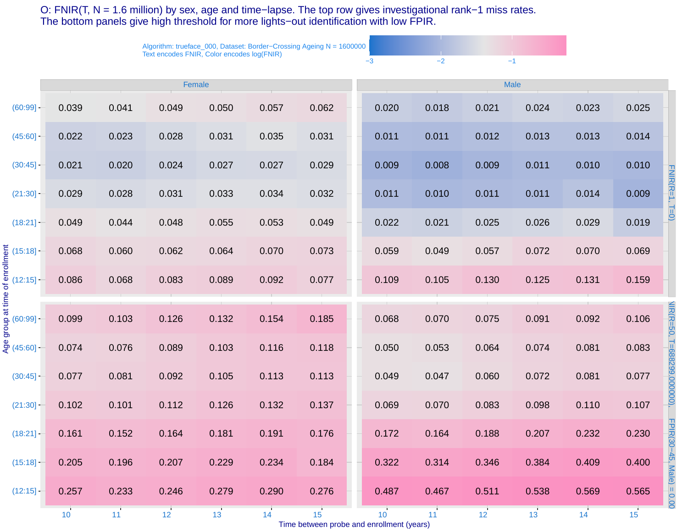O: FNIR(T, N = 1.6 million) by sex, age and time−lapse. The top row gives investigational rank−1 miss rates. The bottom panels give high threshold for more lights−out identification with low FPIR.

> Algorithm: trueface\_000, Dataset: Border−Crossing Ageing N = 1600000 Text encodes FNIR, Color encodes log(FNIR)

|                                                                                      | Female          |       |                 |       |       |       |       | Male  |       |       |       |       |                             |  |
|--------------------------------------------------------------------------------------|-----------------|-------|-----------------|-------|-------|-------|-------|-------|-------|-------|-------|-------|-----------------------------|--|
| $(60:99] -$                                                                          | 0.039           | 0.041 | 0.049           | 0.050 | 0.057 | 0.062 | 0.020 | 0.018 | 0.021 | 0.024 | 0.023 | 0.025 |                             |  |
| $(45:60] -$                                                                          | 0.022           | 0.023 | 0.028           | 0.031 | 0.035 | 0.031 | 0.011 | 0.011 | 0.012 | 0.013 | 0.013 | 0.014 |                             |  |
| (30:45]                                                                              | 0.021           | 0.020 | 0.024           | 0.027 | 0.027 | 0.029 | 0.009 | 0.008 | 0.009 | 0.011 | 0.010 | 0.010 |                             |  |
| $(21:30]$ -                                                                          | 0.029           | 0.028 | 0.031           | 0.033 | 0.034 | 0.032 | 0.011 | 0.010 | 0.011 | 0.011 | 0.014 | 0.009 | FNIR(R=1, T=0)              |  |
| $(18:21] -$                                                                          | 0.049           | 0.044 | 0.048           | 0.055 | 0.053 | 0.049 | 0.022 | 0.021 | 0.025 | 0.026 | 0.029 | 0.019 |                             |  |
|                                                                                      | 0.068           | 0.060 | 0.062           | 0.064 | 0.070 | 0.073 | 0.059 | 0.049 | 0.057 | 0.072 | 0.070 | 0.069 |                             |  |
| Early (15:18)<br>Early (12:15)<br>The absolute of the set of (60:99)<br>Book (45:60) | 0.086           | 0.068 | 0.083           | 0.089 | 0.092 | 0.077 | 0.109 | 0.105 | 0.130 | 0.125 | 0.131 | 0.159 |                             |  |
|                                                                                      | 0.099           | 0.103 | 0.126           | 0.132 | 0.154 | 0.185 | 0.068 | 0.070 | 0.075 | 0.091 | 0.092 | 0.106 |                             |  |
|                                                                                      |                 |       |                 |       |       |       |       |       |       |       |       |       |                             |  |
|                                                                                      | 0.074           | 0.076 | 0.089           | 0.103 | 0.116 | 0.118 | 0.050 | 0.053 | 0.064 | 0.074 | 0.081 | 0.083 |                             |  |
| (30:45]                                                                              | 0.077           | 0.081 | 0.092           | 0.105 | 0.113 | 0.113 | 0.049 | 0.047 | 0.060 | 0.072 | 0.081 | 0.077 | NIR(R=50, T=688299,000000), |  |
| $(21:30]$ -                                                                          | 0.102           | 0.101 | 0.112           | 0.126 | 0.132 | 0.137 | 0.069 | 0.070 | 0.083 | 0.098 | 0.110 | 0.107 |                             |  |
| (18:21]                                                                              | 0.161           | 0.152 | 0.164           | 0.181 | 0.191 | 0.176 | 0.172 | 0.164 | 0.188 | 0.207 | 0.232 | 0.230 |                             |  |
| (15:18]                                                                              | 0.205           | 0.196 | 0.207           | 0.229 | 0.234 | 0.184 | 0.322 | 0.314 | 0.346 | 0.384 | 0.409 | 0.400 |                             |  |
| (12:15]                                                                              | 0.257           | 0.233 | 0.246           | 0.279 | 0.290 | 0.276 | 0.487 | 0.467 | 0.511 | 0.538 | 0.569 | 0.565 | FPIR(30–45, Male) = 0.00    |  |
|                                                                                      | 10 <sup>1</sup> | 11    | 12 <sup>7</sup> | 13    | 14    | 15    | 10    | 11    | 12    | 13    | 14    | 15    |                             |  |

 $-3$   $-2$   $-1$ 

Time between probe and enrollment (years)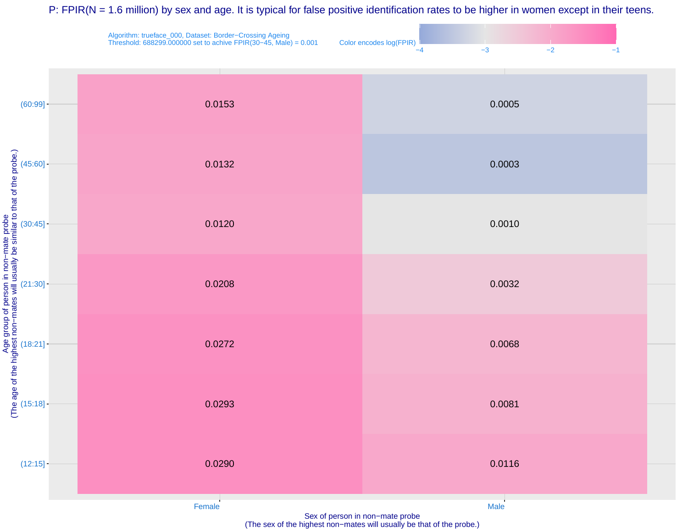P: FPIR(N = 1.6 million) by sex and age. It is typical for false positive identification rates to be higher in women except in their teens.





(The sex of the highest non−mates will usually be that of the probe.)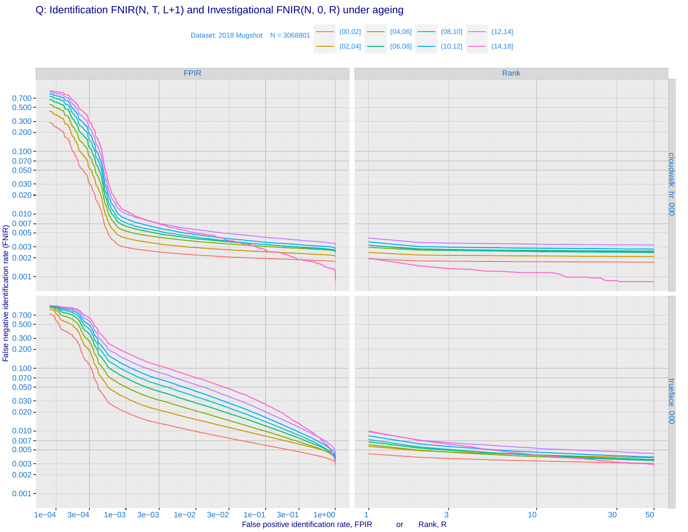Q: Identification FNIR(N, T, L+1) and Investigational FNIR(N, 0, R) under ageing